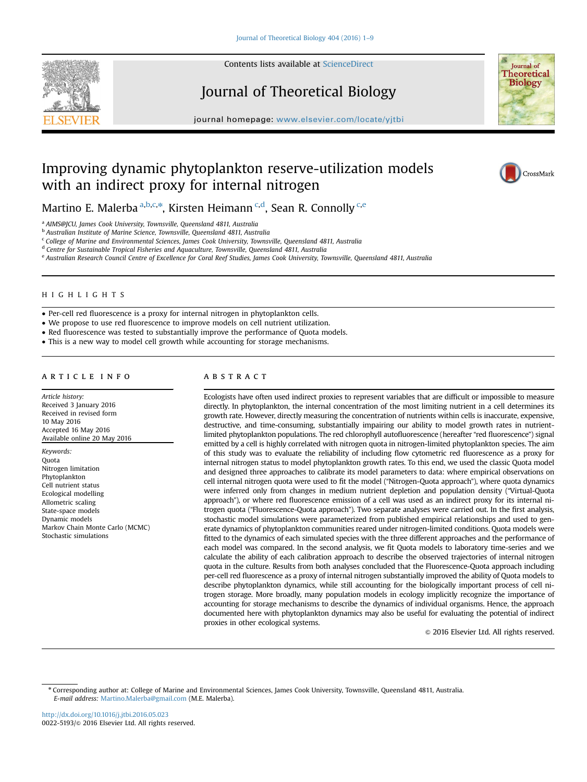

Contents lists available at [ScienceDirect](www.sciencedirect.com/science/journal/00225193)

# Journal of Theoretical Biology



journal homepage: <www.elsevier.com/locate/yjtbi>

## Improving dynamic phytoplankton reserve-utilization models with an indirect proxy for internal nitrogen



Martino E. Malerba <sup>a,b,c,\*</sup>, Kirsten Heimann <sup>c,d</sup>, Sean R. Connolly <sup>c,e</sup>

<sup>a</sup> AIMS@JCU, James Cook University, Townsville, Queensland 4811, Australia

<sup>b</sup> Australian Institute of Marine Science, Townsville, Queensland 4811, Australia

<sup>c</sup> College of Marine and Environmental Sciences, James Cook University, Townsville, Queensland 4811, Australia

<sup>d</sup> Centre for Sustainable Tropical Fisheries and Aquaculture, Townsville, Queensland 4811, Australia

<sup>e</sup> Australian Research Council Centre of Excellence for Coral Reef Studies, James Cook University, Townsville, Queensland 4811, Australia

## HIGHLIGHTS

Per-cell red fluorescence is a proxy for internal nitrogen in phytoplankton cells.

- We propose to use red fluorescence to improve models on cell nutrient utilization.
- Red fluorescence was tested to substantially improve the performance of Quota models.

• This is a new way to model cell growth while accounting for storage mechanisms.

#### article info

Article history: Received 3 January 2016 Received in revised form 10 May 2016 Accepted 16 May 2016 Available online 20 May 2016 Keywords: Quota Nitrogen limitation Phytoplankton Cell nutrient status Ecological modelling

Allometric scaling State-space models Dynamic models Markov Chain Monte Carlo (MCMC) Stochastic simulations

## abstract

Ecologists have often used indirect proxies to represent variables that are difficult or impossible to measure directly. In phytoplankton, the internal concentration of the most limiting nutrient in a cell determines its growth rate. However, directly measuring the concentration of nutrients within cells is inaccurate, expensive, destructive, and time-consuming, substantially impairing our ability to model growth rates in nutrientlimited phytoplankton populations. The red chlorophyll autofluorescence (hereafter "red fluorescence") signal emitted by a cell is highly correlated with nitrogen quota in nitrogen-limited phytoplankton species. The aim of this study was to evaluate the reliability of including flow cytometric red fluorescence as a proxy for internal nitrogen status to model phytoplankton growth rates. To this end, we used the classic Quota model and designed three approaches to calibrate its model parameters to data: where empirical observations on cell internal nitrogen quota were used to fit the model ("Nitrogen-Quota approach"), where quota dynamics were inferred only from changes in medium nutrient depletion and population density ("Virtual-Quota approach"), or where red fluorescence emission of a cell was used as an indirect proxy for its internal nitrogen quota ("Fluorescence-Quota approach"). Two separate analyses were carried out. In the first analysis, stochastic model simulations were parameterized from published empirical relationships and used to generate dynamics of phytoplankton communities reared under nitrogen-limited conditions. Quota models were fitted to the dynamics of each simulated species with the three different approaches and the performance of each model was compared. In the second analysis, we fit Quota models to laboratory time-series and we calculate the ability of each calibration approach to describe the observed trajectories of internal nitrogen quota in the culture. Results from both analyses concluded that the Fluorescence-Quota approach including per-cell red fluorescence as a proxy of internal nitrogen substantially improved the ability of Quota models to describe phytoplankton dynamics, while still accounting for the biologically important process of cell nitrogen storage. More broadly, many population models in ecology implicitly recognize the importance of accounting for storage mechanisms to describe the dynamics of individual organisms. Hence, the approach documented here with phytoplankton dynamics may also be useful for evaluating the potential of indirect proxies in other ecological systems.

 $@$  2016 Elsevier Ltd. All rights reserved.

<sup>n</sup> Corresponding author at: College of Marine and Environmental Sciences, James Cook University, Townsville, Queensland 4811, Australia. E-mail address: [Martino.Malerba@gmail.com](mailto:Martino.Malerba@gmail.com) (M.E. Malerba).

<http://dx.doi.org/10.1016/j.jtbi.2016.05.023> 0022-5193/@ 2016 Elsevier Ltd. All rights reserved.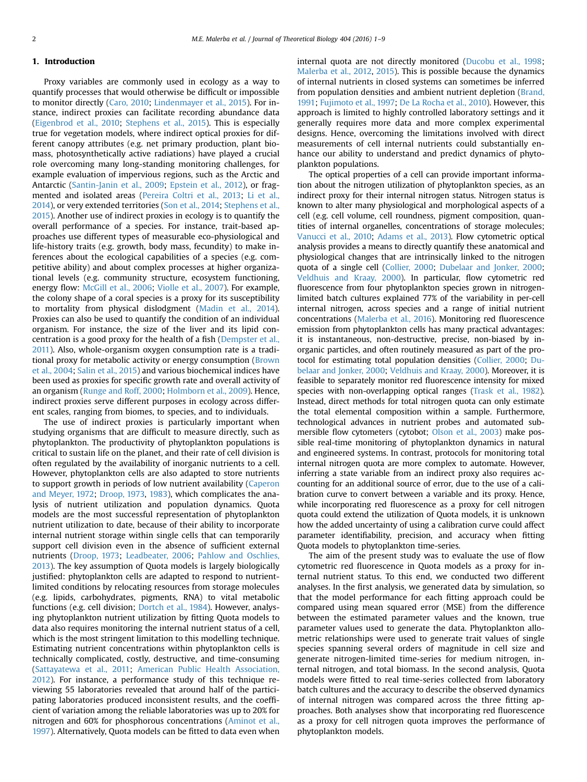#### 1. Introduction

Proxy variables are commonly used in ecology as a way to quantify processes that would otherwise be difficult or impossible to monitor directly ([Caro, 2010;](#page-7-0) [Lindenmayer et al., 2015](#page-7-0)). For instance, indirect proxies can facilitate recording abundance data ([Eigenbrod et al., 2010](#page-7-0); [Stephens et al., 2015](#page-8-0)). This is especially true for vegetation models, where indirect optical proxies for different canopy attributes (e.g. net primary production, plant biomass, photosynthetically active radiations) have played a crucial role overcoming many long-standing monitoring challenges, for example evaluation of impervious regions, such as the Arctic and Antarctic [\(Santin-Janin et al., 2009](#page-8-0); [Epstein et al., 2012](#page-7-0)), or fragmented and isolated areas ([Pereira Coltri et al., 2013](#page-7-0); [Li et al.,](#page-7-0) [2014\)](#page-7-0), or very extended territories ([Son et al., 2014;](#page-8-0) [Stephens et al.,](#page-8-0) [2015\)](#page-8-0). Another use of indirect proxies in ecology is to quantify the overall performance of a species. For instance, trait-based approaches use different types of measurable eco-physiological and life-history traits (e.g. growth, body mass, fecundity) to make inferences about the ecological capabilities of a species (e.g. competitive ability) and about complex processes at higher organizational levels (e.g. community structure, ecosystem functioning, energy flow: [McGill et al., 2006](#page-7-0); [Violle et al., 2007](#page-8-0)). For example, the colony shape of a coral species is a proxy for its susceptibility to mortality from physical dislodgment [\(Madin et al., 2014\)](#page-7-0). Proxies can also be used to quantify the condition of an individual organism. For instance, the size of the liver and its lipid concentration is a good proxy for the health of a fish [\(Dempster et al.,](#page-7-0) [2011\)](#page-7-0). Also, whole-organism oxygen consumption rate is a traditional proxy for metabolic activity or energy consumption ([Brown](#page-7-0) [et al., 2004;](#page-7-0) [Salin et al., 2015](#page-8-0)) and various biochemical indices have been used as proxies for specific growth rate and overall activity of an organism [\(Runge and Roff, 2000;](#page-8-0) [Holmborn et al., 2009](#page-7-0)). Hence, indirect proxies serve different purposes in ecology across different scales, ranging from biomes, to species, and to individuals.

The use of indirect proxies is particularly important when studying organisms that are difficult to measure directly, such as phytoplankton. The productivity of phytoplankton populations is critical to sustain life on the planet, and their rate of cell division is often regulated by the availability of inorganic nutrients to a cell. However, phytoplankton cells are also adapted to store nutrients to support growth in periods of low nutrient availability [\(Caperon](#page-7-0) [and Meyer, 1972](#page-7-0); [Droop, 1973,](#page-7-0) [1983](#page-7-0)), which complicates the analysis of nutrient utilization and population dynamics. Quota models are the most successful representation of phytoplankton nutrient utilization to date, because of their ability to incorporate internal nutrient storage within single cells that can temporarily support cell division even in the absence of sufficient external nutrients [\(Droop, 1973](#page-7-0); [Leadbeater, 2006](#page-7-0); [Pahlow and Oschlies,](#page-7-0) [2013\)](#page-7-0). The key assumption of Quota models is largely biologically justified: phytoplankton cells are adapted to respond to nutrientlimited conditions by relocating resources from storage molecules (e.g. lipids, carbohydrates, pigments, RNA) to vital metabolic functions (e.g. cell division; [Dortch et al., 1984](#page-7-0)). However, analysing phytoplankton nutrient utilization by fitting Quota models to data also requires monitoring the internal nutrient status of a cell, which is the most stringent limitation to this modelling technique. Estimating nutrient concentrations within phytoplankton cells is technically complicated, costly, destructive, and time-consuming ([Sattayatewa et al., 2011;](#page-8-0) [American Public Health Association,](#page-7-0) [2012](#page-7-0)). For instance, a performance study of this technique reviewing 55 laboratories revealed that around half of the participating laboratories produced inconsistent results, and the coefficient of variation among the reliable laboratories was up to 20% for nitrogen and 60% for phosphorous concentrations ([Aminot et al.,](#page-7-0) [1997](#page-7-0)). Alternatively, Quota models can be fitted to data even when internal quota are not directly monitored [\(Ducobu et al., 1998;](#page-7-0) [Malerba et al., 2012](#page-7-0), [2015](#page-7-0)). This is possible because the dynamics of internal nutrients in closed systems can sometimes be inferred from population densities and ambient nutrient depletion [\(Brand,](#page-7-0) [1991;](#page-7-0) [Fujimoto et al., 1997;](#page-7-0) [De La Rocha et al., 2010\)](#page-7-0). However, this approach is limited to highly controlled laboratory settings and it generally requires more data and more complex experimental designs. Hence, overcoming the limitations involved with direct measurements of cell internal nutrients could substantially enhance our ability to understand and predict dynamics of phytoplankton populations.

The optical properties of a cell can provide important information about the nitrogen utilization of phytoplankton species, as an indirect proxy for their internal nitrogen status. Nitrogen status is known to alter many physiological and morphological aspects of a cell (e.g. cell volume, cell roundness, pigment composition, quantities of internal organelles, concentrations of storage molecules; [Vanucci et al., 2010;](#page-8-0) [Adams et al., 2013\)](#page-7-0). Flow cytometric optical analysis provides a means to directly quantify these anatomical and physiological changes that are intrinsically linked to the nitrogen quota of a single cell [\(Collier, 2000;](#page-7-0) [Dubelaar and Jonker, 2000;](#page-7-0) [Veldhuis and Kraay, 2000\)](#page-8-0). In particular, flow cytometric red fluorescence from four phytoplankton species grown in nitrogenlimited batch cultures explained 77% of the variability in per-cell internal nitrogen, across species and a range of initial nutrient concentrations ([Malerba et al., 2016\)](#page-7-0). Monitoring red fluorescence emission from phytoplankton cells has many practical advantages: it is instantaneous, non-destructive, precise, non-biased by inorganic particles, and often routinely measured as part of the protocol for estimating total population densities [\(Collier, 2000](#page-7-0); [Du](#page-7-0)[belaar and Jonker, 2000;](#page-7-0) [Veldhuis and Kraay, 2000\)](#page-8-0). Moreover, it is feasible to separately monitor red fluorescence intensity for mixed species with non-overlapping optical ranges ([Trask et al., 1982\)](#page-8-0). Instead, direct methods for total nitrogen quota can only estimate the total elemental composition within a sample. Furthermore, technological advances in nutrient probes and automated submersible flow cytometers (cytobot; [Olson et al., 2003](#page-7-0)) make possible real-time monitoring of phytoplankton dynamics in natural and engineered systems. In contrast, protocols for monitoring total internal nitrogen quota are more complex to automate. However, inferring a state variable from an indirect proxy also requires accounting for an additional source of error, due to the use of a calibration curve to convert between a variable and its proxy. Hence, while incorporating red fluorescence as a proxy for cell nitrogen quota could extend the utilization of Quota models, it is unknown how the added uncertainty of using a calibration curve could affect parameter identifiability, precision, and accuracy when fitting Quota models to phytoplankton time-series.

The aim of the present study was to evaluate the use of flow cytometric red fluorescence in Quota models as a proxy for internal nutrient status. To this end, we conducted two different analyses. In the first analysis, we generated data by simulation, so that the model performance for each fitting approach could be compared using mean squared error (MSE) from the difference between the estimated parameter values and the known, true parameter values used to generate the data. Phytoplankton allometric relationships were used to generate trait values of single species spanning several orders of magnitude in cell size and generate nitrogen-limited time-series for medium nitrogen, internal nitrogen, and total biomass. In the second analysis, Quota models were fitted to real time-series collected from laboratory batch cultures and the accuracy to describe the observed dynamics of internal nitrogen was compared across the three fitting approaches. Both analyses show that incorporating red fluorescence as a proxy for cell nitrogen quota improves the performance of phytoplankton models.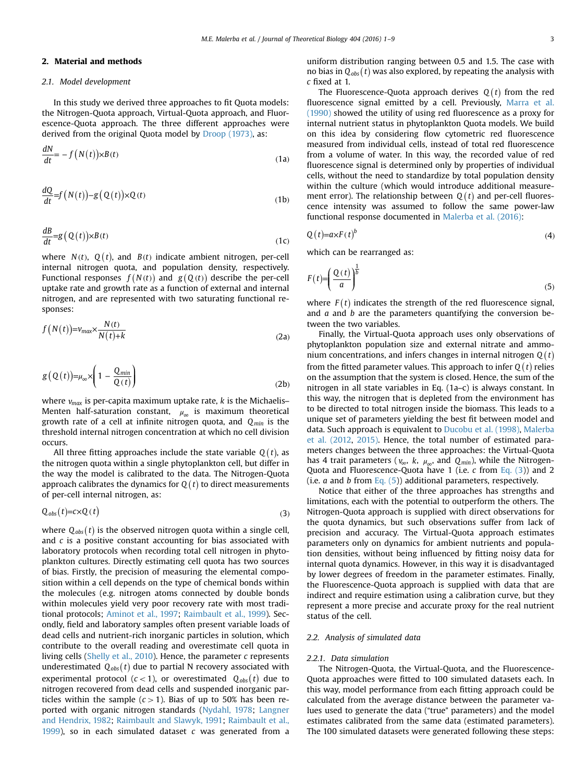## <span id="page-2-0"></span>2. Material and methods

#### 2.1. Model development

In this study we derived three approaches to fit Quota models: the Nitrogen-Quota approach, Virtual-Quota approach, and Fluorescence-Quota approach. The three different approaches were derived from the original Quota model by [Droop \(1973\)](#page-7-0), as:

$$
\frac{dN}{dt} = -f(N(t)) \times B(t)
$$
\n(1a)

$$
\frac{dQ}{dt} = f(N(t)) - g(Q(t)) \times Q(t)
$$
\n(1b)

$$
\frac{dB}{dt} = g(Q(t)) \times B(t)
$$
\n(1c)

where  $N(t)$ ,  $Q(t)$ , and  $B(t)$  indicate ambient nitrogen, per-cell internal nitrogen quota, and population density, respectively. Functional responses  $f(N(t))$  and  $g(Q(t))$  describe the per-cell uptake rate and growth rate as a function of external and internal nitrogen, and are represented with two saturating functional responses:

$$
f(N(t)) = v_{max} \times \frac{N(t)}{N(t) + k}
$$
\n(2a)

$$
g\left(Q(t)\right) = \mu_{\infty} \times \left(1 - \frac{Q_{min}}{Q(t)}\right)
$$
 (2b)

where *vmax* is per-capita maximum uptake rate, *k* is the Michaelis– Menten half-saturation constant, *μ*<sup>∞</sup> is maximum theoretical growth rate of a cell at infinite nitrogen quota, and *Q min* is the threshold internal nitrogen concentration at which no cell division occurs.

All three fitting approaches include the state variable  $Q(t)$ , as the nitrogen quota within a single phytoplankton cell, but differ in the way the model is calibrated to the data. The Nitrogen-Quota approach calibrates the dynamics for  $Q(t)$  to direct measurements of per-cell internal nitrogen, as:

$$
Q_{obs}(t) = c \times Q(t) \tag{3}
$$

where  $Q_{obs}(t)$  is the observed nitrogen quota within a single cell, and  $c$  is a positive constant accounting for bias associated with laboratory protocols when recording total cell nitrogen in phytoplankton cultures. Directly estimating cell quota has two sources of bias. Firstly, the precision of measuring the elemental composition within a cell depends on the type of chemical bonds within the molecules (e.g. nitrogen atoms connected by double bonds within molecules yield very poor recovery rate with most traditional protocols; [Aminot et al., 1997;](#page-7-0) [Raimbault et al., 1999\)](#page-7-0). Secondly, field and laboratory samples often present variable loads of dead cells and nutrient-rich inorganic particles in solution, which contribute to the overall reading and overestimate cell quota in living cells ([Shelly et al., 2010](#page-8-0)). Hence, the parameter c represents underestimated  $Q_{obs}(t)$  due to partial N recovery associated with experimental protocol ( $c$  < 1), or overestimated  $Q_{obs}(t)$  due to nitrogen recovered from dead cells and suspended inorganic particles within the sample  $(c>1)$ . Bias of up to 50% has been reported with organic nitrogen standards [\(Nydahl, 1978](#page-7-0); [Langner](#page-7-0) [and Hendrix, 1982;](#page-7-0) [Raimbault and Slawyk, 1991](#page-8-0); [Raimbault et al.,](#page-7-0) [1999](#page-7-0)), so in each simulated dataset  $c$  was generated from a uniform distribution ranging between 0.5 and 1.5. The case with no bias in *Qobs* (*t*) was also explored, by repeating the analysis with c fixed at 1.

The Fluorescence-Quota approach derives *Q* (*t*) from the red fluorescence signal emitted by a cell. Previously, [Marra et al.](#page-7-0) [\(1990\)](#page-7-0) showed the utility of using red fluorescence as a proxy for internal nutrient status in phytoplankton Quota models. We build on this idea by considering flow cytometric red fluorescence measured from individual cells, instead of total red fluorescence from a volume of water. In this way, the recorded value of red fluorescence signal is determined only by properties of individual cells, without the need to standardize by total population density within the culture (which would introduce additional measurement error). The relationship between  $Q(t)$  and per-cell fluorescence intensity was assumed to follow the same power-law functional response documented in [Malerba et al. \(2016\)](#page-7-0):

$$
Q(t)=a\times F(t)^b\tag{4}
$$

which can be rearranged as:

$$
F(t) = \left(\frac{Q(t)}{a}\right)^{\frac{1}{b}}\tag{5}
$$

where  $F(t)$  indicates the strength of the red fluorescence signal, and  $\alpha$  and  $\beta$  are the parameters quantifying the conversion between the two variables.

Finally, the Virtual-Quota approach uses only observations of phytoplankton population size and external nitrate and ammonium concentrations, and infers changes in internal nitrogen *Q* (*t*) from the fitted parameter values. This approach to infer *Q* (*t*) relies on the assumption that the system is closed. Hence, the sum of the nitrogen in all state variables in Eq. (1a–c) is always constant. In this way, the nitrogen that is depleted from the environment has to be directed to total nitrogen inside the biomass. This leads to a unique set of parameters yielding the best fit between model and data. Such approach is equivalent to [Ducobu et al. \(1998\)](#page-7-0), [Malerba](#page-7-0) [et al. \(2012,](#page-7-0) [2015\).](#page-7-0) Hence, the total number of estimated parameters changes between the three approaches: the Virtual-Quota has 4 trait parameters ( $v_{\infty}$ ,  $k$ ,  $\mu_{\infty}$ , and  $Q_{min}$ ), while the Nitrogen-Quota and Fluorescence-Quota have 1 (i.e.  $c$  from Eq. (3)) and 2 (i.e.  $a$  and  $b$  from Eq. (5)) additional parameters, respectively.

Notice that either of the three approaches has strengths and limitations, each with the potential to outperform the others. The Nitrogen-Quota approach is supplied with direct observations for the quota dynamics, but such observations suffer from lack of precision and accuracy. The Virtual-Quota approach estimates parameters only on dynamics for ambient nutrients and population densities, without being influenced by fitting noisy data for internal quota dynamics. However, in this way it is disadvantaged by lower degrees of freedom in the parameter estimates. Finally, the Fluorescence-Quota approach is supplied with data that are indirect and require estimation using a calibration curve, but they represent a more precise and accurate proxy for the real nutrient status of the cell.

## 2.2. Analysis of simulated data

#### 2.2.1. Data simulation

The Nitrogen-Quota, the Virtual-Quota, and the Fluorescence-Quota approaches were fitted to 100 simulated datasets each. In this way, model performance from each fitting approach could be calculated from the average distance between the parameter values used to generate the data ("true" parameters) and the model estimates calibrated from the same data (estimated parameters). The 100 simulated datasets were generated following these steps: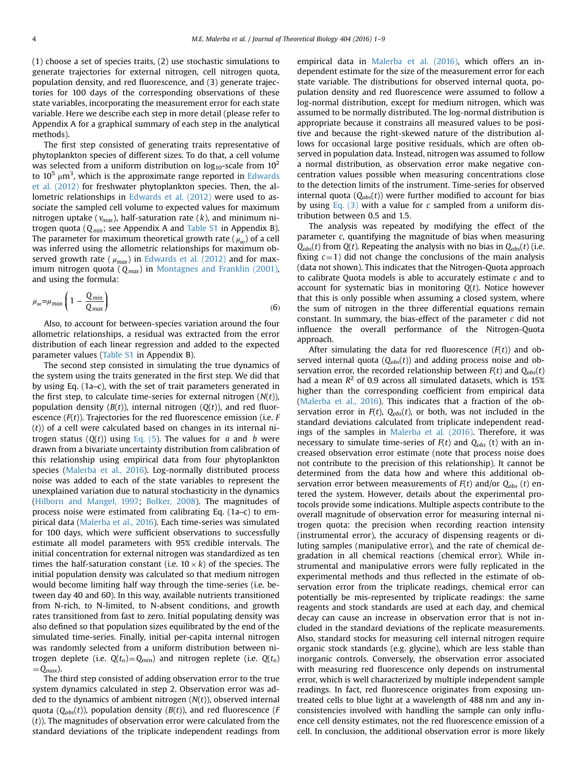(1) choose a set of species traits, (2) use stochastic simulations to generate trajectories for external nitrogen, cell nitrogen quota, population density, and red fluorescence, and (3) generate trajectories for 100 days of the corresponding observations of these state variables, incorporating the measurement error for each state variable. Here we describe each step in more detail (please refer to Appendix A for a graphical summary of each step in the analytical methods).

The first step consisted of generating traits representative of phytoplankton species of different sizes. To do that, a cell volume was selected from a uniform distribution on  $log_{10}$ -scale from  $10<sup>2</sup>$ to 10<sup>5</sup>  $\mu$ m<sup>3</sup>, which is the approximate range reported in [Edwards](#page-7-0) [et al. \(2012\)](#page-7-0) for freshwater phytoplankton species. Then, the allometric relationships in [Edwards et al. \(2012\)](#page-7-0) were used to associate the sampled cell volume to expected values for maximum nitrogen uptake (*vmax*), half-saturation rate (*k*), and minimum nitrogen quota ( $Q_{min}$ ; see Appendix A and [Table S1](#page-7-0) in Appendix B). The parameter for maximum theoretical growth rate (*μ*∞) of a cell was inferred using the allometric relationships for maximum observed growth rate ( $\mu_{max}$ ) in [Edwards et al. \(2012\)](#page-7-0) and for maximum nitrogen quota (*Q max*) in [Montagnes and Franklin \(2001\),](#page-7-0) and using the formula:

$$
\mu_{\infty} = \mu_{max} \left( 1 - \frac{Q_{min}}{Q_{max}} \right) \tag{6}
$$

Also, to account for between-species variation around the four allometric relationships, a residual was extracted from the error distribution of each linear regression and added to the expected parameter values [\(Table S1](#page-7-0) in Appendix B).

The second step consisted in simulating the true dynamics of the system using the traits generated in the first step. We did that by using Eq. (1a–c), with the set of trait parameters generated in the first step, to calculate time-series for external nitrogen  $(N(t))$ , population density  $(B(t))$ , internal nitrogen  $(Q(t))$ , and red fluorescence ( $F(t)$ ). Trajectories for the red fluorescence emission (i.e.  $F$ (t)) of a cell were calculated based on changes in its internal nitrogen status  $(Q(t))$  using [Eq. \(5\)](#page-2-0). The values for *a* and *b* were drawn from a bivariate uncertainty distribution from calibration of this relationship using empirical data from four phytoplankton species ([Malerba et al., 2016](#page-7-0)). Log-normally distributed process noise was added to each of the state variables to represent the unexplained variation due to natural stochasticity in the dynamics ([Hilborn and Mangel, 1997;](#page-7-0) [Bolker, 2008](#page-7-0)). The magnitudes of process noise were estimated from calibrating Eq. (1a–c) to empirical data [\(Malerba et al., 2016\)](#page-7-0). Each time-series was simulated for 100 days, which were sufficient observations to successfully estimate all model parameters with 95% credible intervals. The initial concentration for external nitrogen was standardized as ten times the half-saturation constant (i.e.  $10 \times k$ ) of the species. The initial population density was calculated so that medium nitrogen would become limiting half way through the time-series (i.e. between day 40 and 60). In this way, available nutrients transitioned from N-rich, to N-limited, to N-absent conditions, and growth rates transitioned from fast to zero. Initial populating density was also defined so that population sizes equilibrated by the end of the simulated time-series. Finally, initial per-capita internal nitrogen was randomly selected from a uniform distribution between nitrogen deplete (i.e.  $Q(t_0) = Q_{min}$ ) and nitrogen replete (i.e.  $Q(t_0)$ )  $=Q_{max}$ ).

The third step consisted of adding observation error to the true system dynamics calculated in step 2. Observation error was added to the dynamics of ambient nitrogen  $(N(t))$ , observed internal quota ( $Q_{obs}(t)$ ), population density ( $B(t)$ ), and red fluorescence (F (t)). The magnitudes of observation error were calculated from the standard deviations of the triplicate independent readings from empirical data in [Malerba et al. \(2016\),](#page-7-0) which offers an independent estimate for the size of the measurement error for each state variable. The distributions for observed internal quota, population density and red fluorescence were assumed to follow a log-normal distribution, except for medium nitrogen, which was assumed to be normally distributed. The log-normal distribution is appropriate because it constrains all measured values to be positive and because the right-skewed nature of the distribution allows for occasional large positive residuals, which are often observed in population data. Instead, nitrogen was assumed to follow a normal distribution, as observation error make negative concentration values possible when measuring concentrations close to the detection limits of the instrument. Time-series for observed internal quota  $(Q_{obs}(t))$  were further modified to account for bias by using Eq.  $(3)$  with a value for c sampled from a uniform distribution between 0.5 and 1.5.

The analysis was repeated by modifying the effect of the parameter c, quantifying the magnitude of bias when measuring  $Q_{obs}(t)$  from  $Q(t)$ . Repeating the analysis with no bias in  $Q_{obs}(t)$  (i.e. fixing  $c=1$ ) did not change the conclusions of the main analysis (data not shown). This indicates that the Nitrogen-Quota approach to calibrate Quota models is able to accurately estimate c and to account for systematic bias in monitoring  $Q(t)$ . Notice however that this is only possible when assuming a closed system, where the sum of nitrogen in the three differential equations remain constant. In summary, the bias-effect of the parameter  $c$  did not influence the overall performance of the Nitrogen-Quota approach.

After simulating the data for red fluorescence  $(F(t))$  and observed internal quota  $(Q_{obs}(t))$  and adding process noise and observation error, the recorded relationship between  $F(t)$  and  $Q_{obs}(t)$ had a mean  $R^2$  of 0.9 across all simulated datasets, which is 15% higher than the corresponding coefficient from empirical data ([Malerba et al., 2016](#page-7-0)). This indicates that a fraction of the observation error in  $F(t)$ ,  $Q_{obs}(t)$ , or both, was not included in the standard deviations calculated from triplicate independent readings of the samples in [Malerba et al. \(2016\).](#page-7-0) Therefore, it was necessary to simulate time-series of  $F(t)$  and  $Q_{obs}$  (t) with an increased observation error estimate (note that process noise does not contribute to the precision of this relationship). It cannot be determined from the data how and where this additional observation error between measurements of  $F(t)$  and/or  $Q_{obs}$  (t) entered the system. However, details about the experimental protocols provide some indications. Multiple aspects contribute to the overall magnitude of observation error for measuring internal nitrogen quota: the precision when recording reaction intensity (instrumental error), the accuracy of dispensing reagents or diluting samples (manipulative error), and the rate of chemical degradation in all chemical reactions (chemical error). While instrumental and manipulative errors were fully replicated in the experimental methods and thus reflected in the estimate of observation error from the triplicate readings, chemical error can potentially be mis-represented by triplicate readings: the same reagents and stock standards are used at each day, and chemical decay can cause an increase in observation error that is not included in the standard deviations of the replicate measurements. Also, standard stocks for measuring cell internal nitrogen require organic stock standards (e.g. glycine), which are less stable than inorganic controls. Conversely, the observation error associated with measuring red fluorescence only depends on instrumental error, which is well characterized by multiple independent sample readings. In fact, red fluorescence originates from exposing untreated cells to blue light at a wavelength of 488 nm and any inconsistencies involved with handling the sample can only influence cell density estimates, not the red fluorescence emission of a cell. In conclusion, the additional observation error is more likely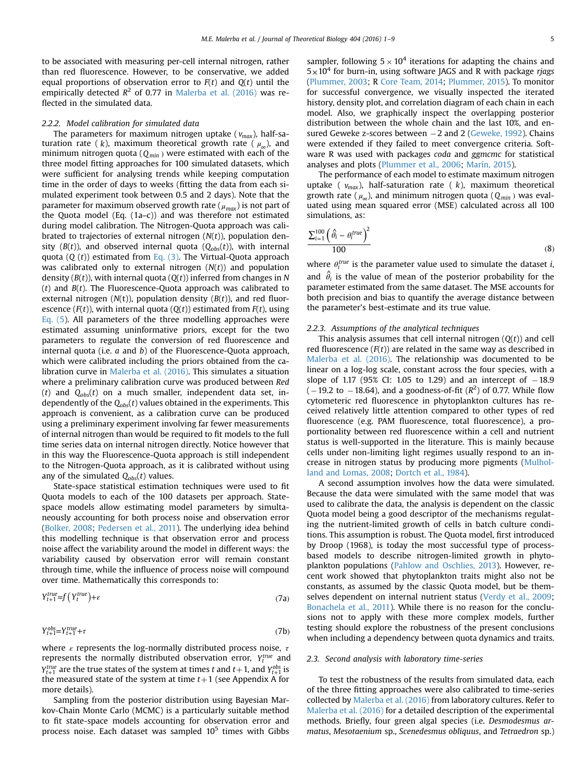to be associated with measuring per-cell internal nitrogen, rather than red fluorescence. However, to be conservative, we added equal proportions of observation error to  $F(t)$  and  $Q(t)$  until the empirically detected  $R^2$  of 0.77 in [Malerba et al. \(2016\)](#page-7-0) was reflected in the simulated data.

#### 2.2.2. Model calibration for simulated data

The parameters for maximum nitrogen uptake ( $v_{max}$ ), half-saturation rate ( $k$ ), maximum theoretical growth rate ( $\mu_{\infty}$ ), and minimum nitrogen quota (*Q min* ) were estimated with each of the three model fitting approaches for 100 simulated datasets, which were sufficient for analysing trends while keeping computation time in the order of days to weeks (fitting the data from each simulated experiment took between 0.5 and 2 days). Note that the parameter for maximum observed growth rate (*μmax*) is not part of the Quota model (Eq. (1a–c)) and was therefore not estimated during model calibration. The Nitrogen-Quota approach was calibrated to trajectories of external nitrogen  $(N(t))$ , population density  $(B(t))$ , and observed internal quota  $(Q_{obs}(t))$ , with internal quota  $(Q(t))$  estimated from [Eq. \(3\)](#page-2-0). The Virtual-Quota approach was calibrated only to external nitrogen  $(N(t))$  and population density  $(B(t))$ , with internal quota  $(Q(t))$  inferred from changes in N (t) and  $B(t)$ . The Fluorescence-Quota approach was calibrated to external nitrogen ( $N(t)$ ), population density ( $B(t)$ ), and red fluorescence ( $F(t)$ ), with internal quota ( $Q(t)$ ) estimated from  $F(t)$ , using [Eq. \(5](#page-2-0)). All parameters of the three modelling approaches were estimated assuming uninformative priors, except for the two parameters to regulate the conversion of red fluorescence and internal quota (i.e. *a* and *b*) of the Fluorescence-Quota approach, which were calibrated including the priors obtained from the calibration curve in [Malerba et al. \(2016\)](#page-7-0). This simulates a situation where a preliminary calibration curve was produced between Red (t) and  $Q_{obs}(t)$  on a much smaller, independent data set, independently of the  $Q_{obs}(t)$  values obtained in the experiments. This approach is convenient, as a calibration curve can be produced using a preliminary experiment involving far fewer measurements of internal nitrogen than would be required to fit models to the full time series data on internal nitrogen directly. Notice however that in this way the Fluorescence-Quota approach is still independent to the Nitrogen-Quota approach, as it is calibrated without using any of the simulated  $Q_{obs}(t)$  values.

State-space statistical estimation techniques were used to fit Quota models to each of the 100 datasets per approach. Statespace models allow estimating model parameters by simultaneously accounting for both process noise and observation error ([Bolker, 2008;](#page-7-0) [Pedersen et al., 2011\)](#page-7-0). The underlying idea behind this modelling technique is that observation error and process noise affect the variability around the model in different ways: the variability caused by observation error will remain constant through time, while the influence of process noise will compound over time. Mathematically this corresponds to:

$$
Y_{t+1}^{true} = f(Y_t^{true}) + \varepsilon \tag{7a}
$$

$$
Y_{t+1}^{obs} = Y_{t+1}^{true} + \tau \tag{7b}
$$

where *ε* represents the log-normally distributed process noise, *τ* represents the normally distributed observation error, *Yt true* and *Y*<sup>true</sup> are the true states of the system at times t and  $t + 1$ , and  $Y_{t+1}^{obs}$  is the measured state of the system at time  $t+1$  (see Appendix A for more details).

Sampling from the posterior distribution using Bayesian Markov-Chain Monte Carlo (MCMC) is a particularly suitable method to fit state-space models accounting for observation error and process noise. Each dataset was sampled  $10<sup>5</sup>$  times with Gibbs sampler, following  $5 \times 10^4$  iterations for adapting the chains and  $5\times10^4$  for burn-in, using software JAGS and R with package rjags ([Plummer, 2003;](#page-7-0) R [Core Team, 2014;](#page-7-0) [Plummer, 2015\)](#page-7-0). To monitor for successful convergence, we visually inspected the iterated history, density plot, and correlation diagram of each chain in each model. Also, we graphically inspect the overlapping posterior distribution between the whole chain and the last 10%, and ensured Geweke z-scores between  $-2$  and  $2$  ([Geweke, 1992](#page-7-0)). Chains were extended if they failed to meet convergence criteria. Software R was used with packages coda and ggmcmc for statistical analyses and plots [\(Plummer et al., 2006;](#page-7-0) [Marín, 2015\)](#page-7-0).

The performance of each model to estimate maximum nitrogen uptake ( *vmax*), half-saturation rate ( *k*), maximum theoretical growth rate ( $\mu_{\infty}$ ), and minimum nitrogen quota ( $Q_{min}$ ) was evaluated using mean squared error (MSE) calculated across all 100 simulations, as:

$$
\frac{\sum_{i=1}^{100} \left(\hat{\theta}_i - \theta_i^{\text{true}}\right)^2}{100}
$$
 (8)

where  $\theta_i^{true}$  is the parameter value used to simulate the dataset *i*, and  $\hat{\theta}_i$  is the value of mean of the posterior probability for the parameter estimated from the same dataset. The MSE accounts for both precision and bias to quantify the average distance between the parameter's best-estimate and its true value.

## 2.2.3. Assumptions of the analytical techniques

This analysis assumes that cell internal nitrogen  $(Q(t))$  and cell red fluorescence  $(F(t))$  are related in the same way as described in [Malerba et al. \(2016\).](#page-7-0) The relationship was documented to be linear on a log-log scale, constant across the four species, with a slope of 1.17 (95% CI: 1.05 to 1.29) and an intercept of  $-18.9$  $(-19.2 \text{ to } -18.64)$ , and a goodness-of-fit  $(R^2)$  of 0.77. While flow cytometeric red fluorescence in phytoplankton cultures has received relatively little attention compared to other types of red fluorescence (e.g. PAM fluorescence, total fluorescence), a proportionality between red fluorescence within a cell and nutrient status is well-supported in the literature. This is mainly because cells under non-limiting light regimes usually respond to an increase in nitrogen status by producing more pigments [\(Mulhol](#page-7-0)[land and Lomas, 2008;](#page-7-0) [Dortch et al., 1984](#page-7-0)).

A second assumption involves how the data were simulated. Because the data were simulated with the same model that was used to calibrate the data, the analysis is dependent on the classic Quota model being a good descriptor of the mechanisms regulating the nutrient-limited growth of cells in batch culture conditions. This assumption is robust. The Quota model, first introduced by Droop (1968), is today the most successful type of processbased models to describe nitrogen-limited growth in phytoplankton populations [\(Pahlow and Oschlies, 2013\)](#page-7-0). However, recent work showed that phytoplankton traits might also not be constants, as assumed by the classic Quota model, but be themselves dependent on internal nutrient status ([Verdy et al., 2009;](#page-8-0) [Bonachela et al., 2011\)](#page-7-0). While there is no reason for the conclusions not to apply with these more complex models, further testing should explore the robustness of the present conclusions when including a dependency between quota dynamics and traits.

#### 2.3. Second analysis with laboratory time-series

To test the robustness of the results from simulated data, each of the three fitting approaches were also calibrated to time-series collected by [Malerba et al. \(2016\)](#page-7-0) from laboratory cultures. Refer to [Malerba et al. \(2016\)](#page-7-0) for a detailed description of the experimental methods. Briefly, four green algal species (i.e. Desmodesmus armatus, Mesotaenium sp., Scenedesmus obliquus, and Tetraedron sp.)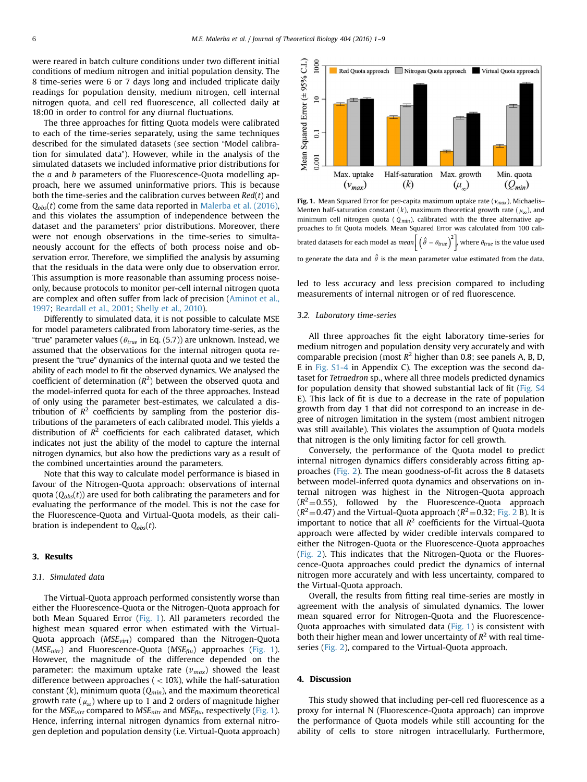were reared in batch culture conditions under two different initial conditions of medium nitrogen and initial population density. The 8 time-series were 6 or 7 days long and included triplicate daily readings for population density, medium nitrogen, cell internal nitrogen quota, and cell red fluorescence, all collected daily at 18:00 in order to control for any diurnal fluctuations.

The three approaches for fitting Quota models were calibrated to each of the time-series separately, using the same techniques described for the simulated datasets (see section "Model calibration for simulated data"). However, while in the analysis of the simulated datasets we included informative prior distributions for the a and b parameters of the Fluorescence-Quota modelling approach, here we assumed uninformative priors. This is because both the time-series and the calibration curves between  $Red(t)$  and  $Q_{obs}(t)$  come from the same data reported in [Malerba et al. \(2016\),](#page-7-0) and this violates the assumption of independence between the dataset and the parameters' prior distributions. Moreover, there were not enough observations in the time-series to simultaneously account for the effects of both process noise and observation error. Therefore, we simplified the analysis by assuming that the residuals in the data were only due to observation error. This assumption is more reasonable than assuming process noiseonly, because protocols to monitor per-cell internal nitrogen quota are complex and often suffer from lack of precision ([Aminot et al.,](#page-7-0) [1997](#page-7-0); [Beardall et al., 2001;](#page-7-0) [Shelly et al., 2010](#page-8-0)).

Differently to simulated data, it is not possible to calculate MSE for model parameters calibrated from laboratory time-series, as the "true" parameter values (*θtrue* in Eq. (5.7)) are unknown. Instead, we assumed that the observations for the internal nitrogen quota represent the "true" dynamics of the internal quota and we tested the ability of each model to fit the observed dynamics. We analysed the coefficient of determination  $(R^2)$  between the observed quota and the model-inferred quota for each of the three approaches. Instead of only using the parameter best-estimates, we calculated a distribution of  $\mathbb{R}^2$  coefficients by sampling from the posterior distributions of the parameters of each calibrated model. This yields a distribution of  $R^2$  coefficients for each calibrated dataset, which indicates not just the ability of the model to capture the internal nitrogen dynamics, but also how the predictions vary as a result of the combined uncertainties around the parameters.

Note that this way to calculate model performance is biased in favour of the Nitrogen-Quota approach: observations of internal quota ( $Q_{obs}(t)$ ) are used for both calibrating the parameters and for evaluating the performance of the model. This is not the case for the Fluorescence-Quota and Virtual-Quota models, as their calibration is independent to  $Q_{obs}(t)$ .

#### 3. Results

#### 3.1. Simulated data

The Virtual-Quota approach performed consistently worse than either the Fluorescence-Quota or the Nitrogen-Quota approach for both Mean Squared Error (Fig. 1). All parameters recorded the highest mean squared error when estimated with the Virtual-Quota approach ( $MSE<sub>virt</sub>$ ) compared than the Nitrogen-Quota ( $MSE_{nitr}$ ) and Fluorescence-Quota ( $MSE_{flu}$ ) approaches (Fig. 1). However, the magnitude of the difference depended on the parameter: the maximum uptake rate ( $v_{max}$ ) showed the least difference between approaches ( $<$  10%), while the half-saturation constant (k), minimum quota ( $Q_{min}$ ), and the maximum theoretical growth rate  $(\mu_{\infty})$  where up to 1 and 2 orders of magnitude higher for the  $MSE<sub>virt</sub>$  compared to  $MSE<sub>nitr</sub>$  and  $MSE<sub>flu</sub>$ , respectively (Fig. 1). Hence, inferring internal nitrogen dynamics from external nitrogen depletion and population density (i.e. Virtual-Quota approach)



Fig. 1. Mean Squared Error for per-capita maximum uptake rate ( $v_{max}$ ), Michaelis– Menten half-saturation constant ( $k$ ), maximum theoretical growth rate ( $\mu_{\infty}$ ), and minimum cell nitrogen quota ( *Q min*), calibrated with the three alternative approaches to fit Quota models. Mean Squared Error was calculated from 100 calibrated datasets for each model as *mean*  $\left[ \left( \hat{\theta} - \theta_{true} \right)^2 \right]$ , where  $\theta_{true}$  is the value used to generate the data and  $\hat{\theta}$  is the mean parameter value estimated from the data.

led to less accuracy and less precision compared to including measurements of internal nitrogen or of red fluorescence.

## 3.2. Laboratory time-series

All three approaches fit the eight laboratory time-series for medium nitrogen and population density very accurately and with comparable precision (most  $R^2$  higher than 0.8; see panels A, B, D, E in [Fig. S1-4](#page-7-0) in Appendix C). The exception was the second dataset for Tetraedron sp., where all three models predicted dynamics for population density that showed substantial lack of fit ([Fig. S4](#page-7-0) E). This lack of fit is due to a decrease in the rate of population growth from day 1 that did not correspond to an increase in degree of nitrogen limitation in the system (most ambient nitrogen was still available). This violates the assumption of Quota models that nitrogen is the only limiting factor for cell growth.

Conversely, the performance of the Quota model to predict internal nitrogen dynamics differs considerably across fitting approaches ([Fig. 2](#page-6-0)). The mean goodness-of-fit across the 8 datasets between model-inferred quota dynamics and observations on internal nitrogen was highest in the Nitrogen-Quota approach  $(R^2=0.55)$ , followed by the Fluorescence-Quota approach  $(R^2=0.47)$  and the Virtual-Quota approach  $(R^2=0.32;$  [Fig. 2](#page-6-0) B). It is important to notice that all  $R^2$  coefficients for the Virtual-Quota approach were affected by wider credible intervals compared to either the Nitrogen-Quota or the Fluorescence-Quota approaches ([Fig. 2\)](#page-6-0). This indicates that the Nitrogen-Quota or the Fluorescence-Quota approaches could predict the dynamics of internal nitrogen more accurately and with less uncertainty, compared to the Virtual-Quota approach.

Overall, the results from fitting real time-series are mostly in agreement with the analysis of simulated dynamics. The lower mean squared error for Nitrogen-Quota and the Fluorescence-Quota approaches with simulated data (Fig. 1) is consistent with both their higher mean and lower uncertainty of  $R^2$  with real timeseries [\(Fig. 2\)](#page-6-0), compared to the Virtual-Quota approach.

#### 4. Discussion

This study showed that including per-cell red fluorescence as a proxy for internal N (Fluorescence-Quota approach) can improve the performance of Quota models while still accounting for the ability of cells to store nitrogen intracellularly. Furthermore,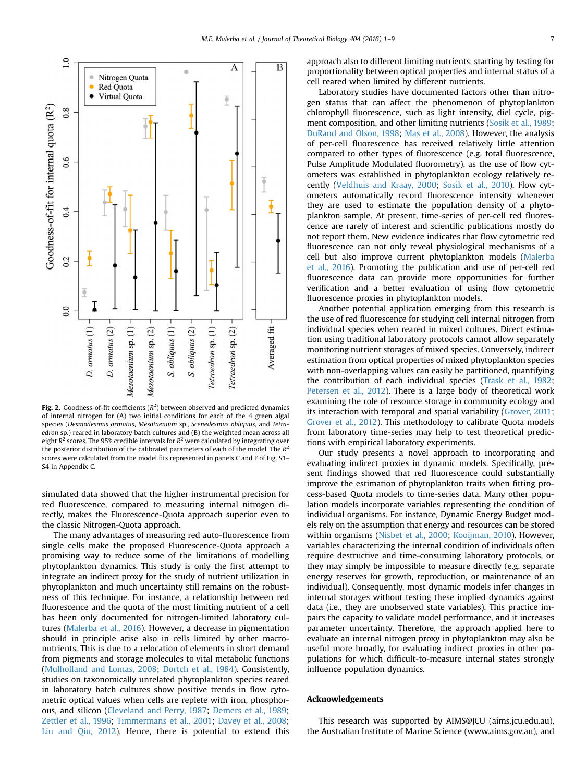<span id="page-6-0"></span>

Fig. 2. Goodness-of-fit coefficients  $(R^2)$  between observed and predicted dynamics of internal nitrogen for (A) two initial conditions for each of the 4 green algal species (Desmodesmus armatus, Mesotaenium sp., Scenedesmus obliquus, and Tetraedron sp.) reared in laboratory batch cultures and (B) the weighted mean across all eight  $R^2$  scores. The 95% credible intervals for  $R^2$  were calculated by integrating over the posterior distribution of the calibrated parameters of each of the model. The  $R^2$ scores were calculated from the model fits represented in panels C and F of Fig. S1– S4 in Appendix C.

simulated data showed that the higher instrumental precision for red fluorescence, compared to measuring internal nitrogen directly, makes the Fluorescence-Quota approach superior even to the classic Nitrogen-Quota approach.

The many advantages of measuring red auto-fluorescence from single cells make the proposed Fluorescence-Quota approach a promising way to reduce some of the limitations of modelling phytoplankton dynamics. This study is only the first attempt to integrate an indirect proxy for the study of nutrient utilization in phytoplankton and much uncertainty still remains on the robustness of this technique. For instance, a relationship between red fluorescence and the quota of the most limiting nutrient of a cell has been only documented for nitrogen-limited laboratory cultures ([Malerba et al., 2016](#page-7-0)). However, a decrease in pigmentation should in principle arise also in cells limited by other macronutrients. This is due to a relocation of elements in short demand from pigments and storage molecules to vital metabolic functions ([Mulholland and Lomas, 2008](#page-7-0); [Dortch et al., 1984](#page-7-0)). Consistently, studies on taxonomically unrelated phytoplankton species reared in laboratory batch cultures show positive trends in flow cytometric optical values when cells are replete with iron, phosphorous, and silicon [\(Cleveland and Perry, 1987;](#page-7-0) [Demers et al., 1989;](#page-7-0) [Zettler et al., 1996;](#page-8-0) [Timmermans et al., 2001](#page-8-0); [Davey et al., 2008;](#page-7-0) [Liu and Qiu, 2012\)](#page-7-0). Hence, there is potential to extend this approach also to different limiting nutrients, starting by testing for proportionality between optical properties and internal status of a cell reared when limited by different nutrients.

Laboratory studies have documented factors other than nitrogen status that can affect the phenomenon of phytoplankton chlorophyll fluorescence, such as light intensity, diel cycle, pigment composition, and other limiting nutrients [\(Sosik et al., 1989;](#page-8-0) [DuRand and Olson, 1998](#page-7-0); [Mas et al., 2008\)](#page-7-0). However, the analysis of per-cell fluorescence has received relatively little attention compared to other types of fluorescence (e.g. total fluorescence, Pulse Amplitude Modulated fluorometry), as the use of flow cytometers was established in phytoplankton ecology relatively recently [\(Veldhuis and Kraay, 2000;](#page-8-0) [Sosik et al., 2010](#page-8-0)). Flow cytometers automatically record fluorescence intensity whenever they are used to estimate the population density of a phytoplankton sample. At present, time-series of per-cell red fluorescence are rarely of interest and scientific publications mostly do not report them. New evidence indicates that flow cytometric red fluorescence can not only reveal physiological mechanisms of a cell but also improve current phytoplankton models ([Malerba](#page-7-0) [et al., 2016\)](#page-7-0). Promoting the publication and use of per-cell red fluorescence data can provide more opportunities for further verification and a better evaluation of using flow cytometric fluorescence proxies in phytoplankton models.

Another potential application emerging from this research is the use of red fluorescence for studying cell internal nitrogen from individual species when reared in mixed cultures. Direct estimation using traditional laboratory protocols cannot allow separately monitoring nutrient storages of mixed species. Conversely, indirect estimation from optical properties of mixed phytoplankton species with non-overlapping values can easily be partitioned, quantifying the contribution of each individual species ([Trask et al., 1982;](#page-8-0) [Petersen et al., 2012](#page-7-0)). There is a large body of theoretical work examining the role of resource storage in community ecology and its interaction with temporal and spatial variability ([Grover, 2011;](#page-7-0) [Grover et al., 2012\)](#page-7-0). This methodology to calibrate Quota models from laboratory time-series may help to test theoretical predictions with empirical laboratory experiments.

Our study presents a novel approach to incorporating and evaluating indirect proxies in dynamic models. Specifically, present findings showed that red fluorescence could substantially improve the estimation of phytoplankton traits when fitting process-based Quota models to time-series data. Many other population models incorporate variables representing the condition of individual organisms. For instance, Dynamic Energy Budget models rely on the assumption that energy and resources can be stored within organisms [\(Nisbet et al., 2000](#page-7-0); [Kooijman, 2010](#page-7-0)). However, variables characterizing the internal condition of individuals often require destructive and time-consuming laboratory protocols, or they may simply be impossible to measure directly (e.g. separate energy reserves for growth, reproduction, or maintenance of an individual). Consequently, most dynamic models infer changes in internal storages without testing these implied dynamics against data (i.e., they are unobserved state variables). This practice impairs the capacity to validate model performance, and it increases parameter uncertainty. Therefore, the approach applied here to evaluate an internal nitrogen proxy in phytoplankton may also be useful more broadly, for evaluating indirect proxies in other populations for which difficult-to-measure internal states strongly influence population dynamics.

## Acknowledgements

This research was supported by AIMS@JCU (aims.jcu.edu.au), the Australian Institute of Marine Science (www.aims.gov.au), and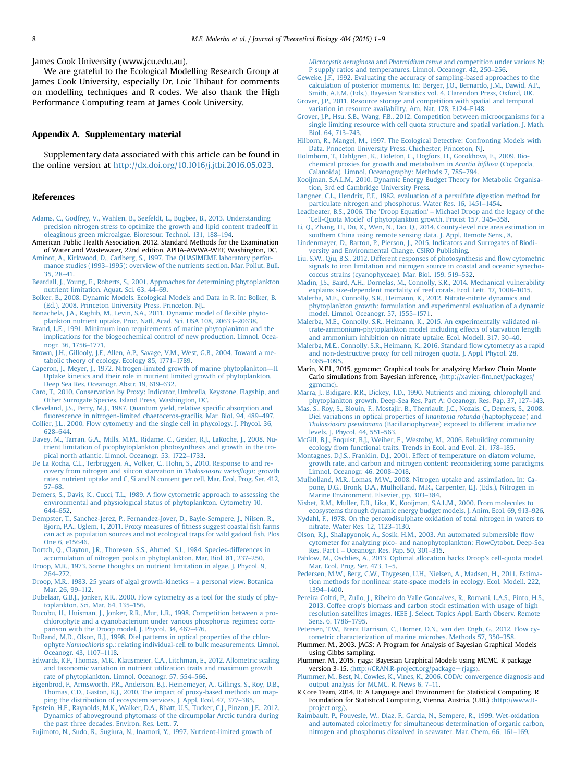<span id="page-7-0"></span>James Cook University (www.jcu.edu.au).

We are grateful to the Ecological Modelling Research Group at James Cook University, especially Dr. Loic Thibaut for comments on modelling techniques and R codes. We also thank the High Performance Computing team at James Cook University.

## Appendix A. Supplementary material

Supplementary data associated with this article can be found in the online version at [http://dx.doi.org/10.1016/j.jtbi.2016.05.023.](http://dx.doi.org/10.1016/j.jtbi.2016.05.023)

#### References

- [Adams, C., Godfrey, V., Wahlen, B., Seefeldt, L., Bugbee, B., 2013. Understanding](http://refhub.elsevier.com/S0022-5193(16)30107-2/sbref1) [precision nitrogen stress to optimize the growth and lipid content tradeoff in](http://refhub.elsevier.com/S0022-5193(16)30107-2/sbref1) [oleaginous green microalgae. Bioresour. Technol. 131, 188](http://refhub.elsevier.com/S0022-5193(16)30107-2/sbref1)–194.
- American Public Health Association, 2012. Standard Methods for the Examination of Water and Wastewater, 22nd edition. APHA-AWWA-WEF, Washington, DC.
- [Aminot, A., Kirkwood, D., Carlberg, S., 1997. The QUASIMEME laboratory perfor](http://refhub.elsevier.com/S0022-5193(16)30107-2/sbref2)mance studies (1993–[1995\): overview of the nutrients section. Mar. Pollut. Bull.](http://refhub.elsevier.com/S0022-5193(16)30107-2/sbref2) [35, 28](http://refhub.elsevier.com/S0022-5193(16)30107-2/sbref2)–41.
- [Beardall, J., Young, E., Roberts, S., 2001. Approaches for determining phytoplankton](http://refhub.elsevier.com/S0022-5193(16)30107-2/sbref3) [nutrient limitation. Aquat. Sci. 63, 44](http://refhub.elsevier.com/S0022-5193(16)30107-2/sbref3)–69.
- [Bolker, B., 2008. Dynamic Models. Ecological Models and Data in R. In: Bolker, B.](http://refhub.elsevier.com/S0022-5193(16)30107-2/sbref4) [\(Ed.\), 2008. Princeton University Press, Princeton, NJ..](http://refhub.elsevier.com/S0022-5193(16)30107-2/sbref4)
- [Bonachela, J.A., Raghib, M., Levin, S.A., 2011. Dynamic model of](http://refhub.elsevier.com/S0022-5193(16)30107-2/sbref5) flexible phyto[plankton nutrient uptake. Proc. Natl. Acad. Sci. USA 108, 20633](http://refhub.elsevier.com/S0022-5193(16)30107-2/sbref5)–20638.
- [Brand, L.E., 1991. Minimum iron requirements of marine phytoplankton and the](http://refhub.elsevier.com/S0022-5193(16)30107-2/sbref6) [implications for the biogeochemical control of new production. Limnol. Ocea](http://refhub.elsevier.com/S0022-5193(16)30107-2/sbref6)[nogr. 36, 1756](http://refhub.elsevier.com/S0022-5193(16)30107-2/sbref6)–1771.
- [Brown, J.H., Gillooly, J.F., Allen, A.P., Savage, V.M., West, G.B., 2004. Toward a me-](http://refhub.elsevier.com/S0022-5193(16)30107-2/sbref7)
- [tabolic theory of ecology. Ecology 85, 1771](http://refhub.elsevier.com/S0022-5193(16)30107-2/sbref7)–1789. [Caperon, J., Meyer, J., 1972. Nitrogen-limited growth of marine phytoplankton](http://refhub.elsevier.com/S0022-5193(16)30107-2/sbref8)—II. [Uptake kinetics and their role in nutrient limited growth of phytoplankton.](http://refhub.elsevier.com/S0022-5193(16)30107-2/sbref8) [Deep Sea Res. Oceanogr. Abstr. 19, 619](http://refhub.elsevier.com/S0022-5193(16)30107-2/sbref8)–632.
- [Caro, T., 2010. Conservation by Proxy: Indicator, Umbrella, Keystone, Flagship, and](http://refhub.elsevier.com/S0022-5193(16)30107-2/sbref9) [Other Surrogate Species. Island Press, Washington, DC.](http://refhub.elsevier.com/S0022-5193(16)30107-2/sbref9)
- [Cleveland, J.S., Perry, M.J., 1987. Quantum yield, relative speci](http://refhub.elsevier.com/S0022-5193(16)30107-2/sbref10)fic absorption and fl[uorescence in nitrogen-limited chaetoceros-gracilis. Mar. Biol. 94, 489](http://refhub.elsevier.com/S0022-5193(16)30107-2/sbref10)–497.
- [Collier, J.L., 2000. Flow cytometry and the single cell in phycology. J. Phycol. 36,](http://refhub.elsevier.com/S0022-5193(16)30107-2/sbref11) [628](http://refhub.elsevier.com/S0022-5193(16)30107-2/sbref11)–[644.](http://refhub.elsevier.com/S0022-5193(16)30107-2/sbref11)
- [Davey, M., Tarran, G.A., Mills, M.M., Ridame, C., Geider, R.J., LaRoche, J., 2008. Nu](http://refhub.elsevier.com/S0022-5193(16)30107-2/sbref12)[trient limitation of picophytoplankton photosynthesis and growth in the tro](http://refhub.elsevier.com/S0022-5193(16)30107-2/sbref12)[pical north atlantic. Limnol. Oceanogr. 53, 1722](http://refhub.elsevier.com/S0022-5193(16)30107-2/sbref12)–1733.
- [De La Rocha, C.L., Terbruggen, A., Volker, C., Hohn, S., 2010. Response to and re](http://refhub.elsevier.com/S0022-5193(16)30107-2/sbref13)[covery from nitrogen and silicon starvation in](http://refhub.elsevier.com/S0022-5193(16)30107-2/sbref13) Thalassiosira weissflogii: growth [rates, nutrient uptake and C, Si and N content per cell. Mar. Ecol. Prog. Ser. 412,](http://refhub.elsevier.com/S0022-5193(16)30107-2/sbref13) [57](http://refhub.elsevier.com/S0022-5193(16)30107-2/sbref13)–[68.](http://refhub.elsevier.com/S0022-5193(16)30107-2/sbref13)
- Demers, S., Davis, K., Cucci, T.L., 1989. A fl[ow cytometric approach to assessing the](http://refhub.elsevier.com/S0022-5193(16)30107-2/sbref14) [environmental and physiological status of phytoplankton. Cytometry 10,](http://refhub.elsevier.com/S0022-5193(16)30107-2/sbref14) [644](http://refhub.elsevier.com/S0022-5193(16)30107-2/sbref14)–[652.](http://refhub.elsevier.com/S0022-5193(16)30107-2/sbref14)
- [Dempster, T., Sanchez-Jerez, P., Fernandez-Jover, D., Bayle-Sempere, J., Nilsen, R.,](http://refhub.elsevier.com/S0022-5193(16)30107-2/sbref15) [Bjorn, P.A., Uglem, I., 2011. Proxy measures of](http://refhub.elsevier.com/S0022-5193(16)30107-2/sbref15) fitness suggest coastal fish farms [can act as population sources and not ecological traps for wild gadoid](http://refhub.elsevier.com/S0022-5193(16)30107-2/sbref15) fish. Plos [One 6, e15646.](http://refhub.elsevier.com/S0022-5193(16)30107-2/sbref15)
- [Dortch, Q., Clayton, J.R., Thoresen, S.S., Ahmed, S.I., 1984. Species-differences in](http://refhub.elsevier.com/S0022-5193(16)30107-2/sbref16) [accumulation of nitrogen pools in phytoplankton. Mar. Biol. 81, 237](http://refhub.elsevier.com/S0022-5193(16)30107-2/sbref16)–250.
- [Droop, M.R., 1973. Some thoughts on nutrient limitation in algae. J. Phycol. 9,](http://refhub.elsevier.com/S0022-5193(16)30107-2/sbref17) [264](http://refhub.elsevier.com/S0022-5193(16)30107-2/sbref17)–[272.](http://refhub.elsevier.com/S0022-5193(16)30107-2/sbref17)
- [Droop, M.R., 1983. 25 years of algal growth-kinetics](http://refhub.elsevier.com/S0022-5193(16)30107-2/sbref18) a personal view. Botanica [Mar. 26, 99](http://refhub.elsevier.com/S0022-5193(16)30107-2/sbref18)–112.
- [Dubelaar, G.B.J., Jonker, R.R., 2000. Flow cytometry as a tool for the study of phy](http://refhub.elsevier.com/S0022-5193(16)30107-2/sbref19)[toplankton. Sci. Mar. 64, 135](http://refhub.elsevier.com/S0022-5193(16)30107-2/sbref19)–156.
- [Ducobu, H., Huisman, J., Jonker, R.R., Mur, L.R., 1998. Competition between a pro](http://refhub.elsevier.com/S0022-5193(16)30107-2/sbref20)[chlorophyte and a cyanobacterium under various phosphorus regimes: com](http://refhub.elsevier.com/S0022-5193(16)30107-2/sbref20)[parison with the Droop model. J. Phycol. 34, 467](http://refhub.elsevier.com/S0022-5193(16)30107-2/sbref20)–476.
- [DuRand, M.D., Olson, R.J., 1998. Diel patterns in optical properties of the chlor](http://refhub.elsevier.com/S0022-5193(16)30107-2/sbref21)ophyte Nannochloris [sp.: relating individual-cell to bulk measurements. Limnol.](http://refhub.elsevier.com/S0022-5193(16)30107-2/sbref21) [Oceanogr. 43, 1107](http://refhub.elsevier.com/S0022-5193(16)30107-2/sbref21)–1118.
- [Edwards, K.F., Thomas, M.K., Klausmeier, C.A., Litchman, E., 2012. Allometric scaling](http://refhub.elsevier.com/S0022-5193(16)30107-2/sbref22) [and taxonomic variation in nutrient utilization traits and maximum growth](http://refhub.elsevier.com/S0022-5193(16)30107-2/sbref22) [rate of phytoplankton. Limnol. Oceanogr. 57, 554](http://refhub.elsevier.com/S0022-5193(16)30107-2/sbref22)–566.
- [Eigenbrod, F., Armsworth, P.R., Anderson, B.J., Heinemeyer, A., Gillings, S., Roy, D.B.,](http://refhub.elsevier.com/S0022-5193(16)30107-2/sbref23) [Thomas, C.D., Gaston, K.J., 2010. The impact of proxy-based methods on map](http://refhub.elsevier.com/S0022-5193(16)30107-2/sbref23)[ping the distribution of ecosystem services. J. Appl. Ecol. 47, 377](http://refhub.elsevier.com/S0022-5193(16)30107-2/sbref23)–385.
- [Epstein, H.E., Raynolds, M.K., Walker, D.A., Bhatt, U.S., Tucker, C.J., Pinzon, J.E., 2012.](http://refhub.elsevier.com/S0022-5193(16)30107-2/sbref24) [Dynamics of aboveground phytomass of the circumpolar Arctic tundra during](http://refhub.elsevier.com/S0022-5193(16)30107-2/sbref24) [the past three decades. Environ. Res. Lett.,](http://refhub.elsevier.com/S0022-5193(16)30107-2/sbref24) 7.
- [Fujimoto, N., Sudo, R., Sugiura, N., Inamori, Y., 1997. Nutrient-limited growth of](http://refhub.elsevier.com/S0022-5193(16)30107-2/sbref25)

Microcystis aeruginosa and Phormidium tenue [and competition under various N:](http://refhub.elsevier.com/S0022-5193(16)30107-2/sbref25) [P supply ratios and temperatures. Limnol. Oceanogr. 42, 250](http://refhub.elsevier.com/S0022-5193(16)30107-2/sbref25)–256.

- [Geweke, J.F., 1992. Evaluating the accuracy of sampling-based approaches to the](http://refhub.elsevier.com/S0022-5193(16)30107-2/sbref26) [calculation of posterior moments. In: Berger, J.O., Bernardo, J.M., Dawid, A.P.,](http://refhub.elsevier.com/S0022-5193(16)30107-2/sbref26) [Smith, A.F.M. \(Eds.\), Bayesian Statistics vol. 4. Clarendon Press, Oxford, UK.](http://refhub.elsevier.com/S0022-5193(16)30107-2/sbref26)
- [Grover, J.P., 2011. Resource storage and competition with spatial and temporal](http://refhub.elsevier.com/S0022-5193(16)30107-2/sbref27) [variation in resource availability. Am. Nat. 178, E124](http://refhub.elsevier.com/S0022-5193(16)30107-2/sbref27)–E148.
- [Grover, J.P., Hsu, S.B., Wang, F.B., 2012. Competition between microorganisms for a](http://refhub.elsevier.com/S0022-5193(16)30107-2/sbref28) [single limiting resource with cell quota structure and spatial variation. J. Math.](http://refhub.elsevier.com/S0022-5193(16)30107-2/sbref28) [Biol. 64, 713](http://refhub.elsevier.com/S0022-5193(16)30107-2/sbref28)–743.
- [Hilborn, R., Mangel, M., 1997. The Ecological Detective: Confronting Models with](http://refhub.elsevier.com/S0022-5193(16)30107-2/sbref29) [Data. Princeton University Press, Chichester, Princeton, NJ.](http://refhub.elsevier.com/S0022-5193(16)30107-2/sbref29)
- [Holmborn, T., Dahlgren, K., Holeton, C., Hogfors, H., Gorokhova, E., 2009. Bio](http://refhub.elsevier.com/S0022-5193(16)30107-2/sbref30)[chemical proxies for growth and metabolism in](http://refhub.elsevier.com/S0022-5193(16)30107-2/sbref30) Acartia bifilosa (Copepoda, [Calanoida\). Limnol. Oceanography: Methods 7, 785](http://refhub.elsevier.com/S0022-5193(16)30107-2/sbref30)–794.
- [Kooijman, S.A.L.M., 2010. Dynamic Energy Budget Theory for Metabolic Organisa](http://refhub.elsevier.com/S0022-5193(16)30107-2/sbref31)[tion, 3rd ed Cambridge University Press.](http://refhub.elsevier.com/S0022-5193(16)30107-2/sbref31)
- [Langner, C.L., Hendrix, P.F., 1982. evaluation of a persulfate digestion method for](http://refhub.elsevier.com/S0022-5193(16)30107-2/sbref32) [particulate nitrogen and phosphorus. Water Res. 16, 1451](http://refhub.elsevier.com/S0022-5193(16)30107-2/sbref32)–1454.
- [Leadbeater, B.S., 2006. The 'Droop Equation](http://refhub.elsevier.com/S0022-5193(16)30107-2/sbref33)' Michael Droop and the legacy of the 'Cell-Quota Model' [of phytoplankton growth. Protist 157, 345](http://refhub.elsevier.com/S0022-5193(16)30107-2/sbref33)–358.
- [Li, Q., Zhang, H., Du, X., Wen, N., Tao, Q., 2014. County-level rice area estimation in](http://refhub.elsevier.com/S0022-5193(16)30107-2/sbref34) [southern China using remote sensing data. J. Appl. Remote Sens., 8.](http://refhub.elsevier.com/S0022-5193(16)30107-2/sbref34)
- [Lindenmayer, D., Barton, P., Pierson, J., 2015. Indicators and Surrogates of Biodi](http://refhub.elsevier.com/S0022-5193(16)30107-2/sbref35)[versity and Environmental Change. CSIRO Publishing.](http://refhub.elsevier.com/S0022-5193(16)30107-2/sbref35)
- [Liu, S.W., Qiu, B.S., 2012. Different responses of photosynthesis and](http://refhub.elsevier.com/S0022-5193(16)30107-2/sbref36) flow cytometric [signals to iron limitation and nitrogen source in coastal and oceanic synecho](http://refhub.elsevier.com/S0022-5193(16)30107-2/sbref36)[coccus strains \(cyanophyceae\). Mar. Biol. 159, 519](http://refhub.elsevier.com/S0022-5193(16)30107-2/sbref36)–532.
- [Madin, J.S., Baird, A.H., Dornelas, M., Connolly, S.R., 2014. Mechanical vulnerability](http://refhub.elsevier.com/S0022-5193(16)30107-2/sbref37) [explains size-dependent mortality of reef corals. Ecol. Lett. 17, 1008](http://refhub.elsevier.com/S0022-5193(16)30107-2/sbref37)–1015.
- [Malerba, M.E., Connolly, S.R., Heimann, K., 2012. Nitrate-nitrite dynamics and](http://refhub.elsevier.com/S0022-5193(16)30107-2/sbref38) [phytoplankton growth: formulation and experimental evaluation of a dynamic](http://refhub.elsevier.com/S0022-5193(16)30107-2/sbref38) [model. Limnol. Oceanogr. 57, 1555](http://refhub.elsevier.com/S0022-5193(16)30107-2/sbref38)–1571.
- [Malerba, M.E., Connolly, S.R., Heimann, K., 2015. An experimentally validated ni](http://refhub.elsevier.com/S0022-5193(16)30107-2/sbref39)[trate-ammonium-phytoplankton model including effects of starvation length](http://refhub.elsevier.com/S0022-5193(16)30107-2/sbref39) [and ammonium inhibition on nitrate uptake. Ecol. Modell. 317, 30](http://refhub.elsevier.com/S0022-5193(16)30107-2/sbref39)–40.
- [Malerba, M.E., Connolly, S.R., Heimann, K., 2016. Standard](http://refhub.elsevier.com/S0022-5193(16)30107-2/sbref40) flow cytometry as a rapid [and non-destructive proxy for cell nitrogen quota. J. Appl. Phycol. 28,](http://refhub.elsevier.com/S0022-5193(16)30107-2/sbref40) [1085](http://refhub.elsevier.com/S0022-5193(16)30107-2/sbref40)–[1095.](http://refhub.elsevier.com/S0022-5193(16)30107-2/sbref40)
- Marín, X.F.I., 2015. ggmcmc: Graphical tools for analyzing Markov Chain Monte Carlo simulations from Bayesian inference, 〈http://xavier-fi[m.net/packages/](http://xavier-fim.net/packages/ggmcmc) [ggmcmc](http://xavier-fim.net/packages/ggmcmc)〉.
- [Marra, J., Bidigare, R.R., Dickey, T.D., 1990. Nutrients and mixing, chlorophyll and](http://refhub.elsevier.com/S0022-5193(16)30107-2/sbref41) [phytoplankton growth. Deep-Sea Res. Part A: Oceanogr. Res. Pap. 37, 127](http://refhub.elsevier.com/S0022-5193(16)30107-2/sbref41)–143.
- [Mas, S., Roy, S., Blouin, F., Mostajir, B., Therriault, J.C., Nozais, C., Demers, S., 2008.](http://refhub.elsevier.com/S0022-5193(16)30107-2/sbref42) [Diel variations in optical properties of](http://refhub.elsevier.com/S0022-5193(16)30107-2/sbref42) Imantonia rotunda (haptophyceae) and Thalassiosira pseudonana [\(Bacillariophyceae\) exposed to different irradiance](http://refhub.elsevier.com/S0022-5193(16)30107-2/sbref42) [levels. J. Phycol. 44, 551](http://refhub.elsevier.com/S0022-5193(16)30107-2/sbref42)–563.
- [McGill, B.J., Enquist, B.J., Weiher, E., Westoby, M., 2006. Rebuilding community](http://refhub.elsevier.com/S0022-5193(16)30107-2/sbref43) [ecology from functional traits. Trends in Ecol. and Evol. 21, 178](http://refhub.elsevier.com/S0022-5193(16)30107-2/sbref43)–185.
- [Montagnes, D.J.S., Franklin, D.J., 2001. Effect of temperature on diatom volume,](http://refhub.elsevier.com/S0022-5193(16)30107-2/sbref44) [growth rate, and carbon and nitrogen content: reconsidering some paradigms.](http://refhub.elsevier.com/S0022-5193(16)30107-2/sbref44) [Limnol. Oceanogr. 46, 2008](http://refhub.elsevier.com/S0022-5193(16)30107-2/sbref44)–2018.
- [Mulholland, M.R., Lomas, M.W., 2008. Nitrogen uptake and assimilation. In: Ca](http://refhub.elsevier.com/S0022-5193(16)30107-2/sbref45)[pone, D.G., Bronk, D.A., Mulholland, M.R., Carpenter, E.J. \(Eds.\), Nitrogen in](http://refhub.elsevier.com/S0022-5193(16)30107-2/sbref45) [Marine Environment. Elsevier, pp. 303](http://refhub.elsevier.com/S0022-5193(16)30107-2/sbref45)–384.

[Nisbet, R.M., Muller, E.B., Lika, K., Kooijman, S.A.L.M., 2000. From molecules to](http://refhub.elsevier.com/S0022-5193(16)30107-2/sbref46) [ecosystems through dynamic energy budget models. J. Anim. Ecol. 69, 913](http://refhub.elsevier.com/S0022-5193(16)30107-2/sbref46)–926.

- [Nydahl, F., 1978. On the peroxodisulphate oxidation of total nitrogen in waters to](http://refhub.elsevier.com/S0022-5193(16)30107-2/sbref47) [nitrate. Water Res. 12, 1123](http://refhub.elsevier.com/S0022-5193(16)30107-2/sbref47)–1130.
- [Olson, R.J., Shalapyonok, A., Sosik, H.M., 2003. An automated submersible](http://refhub.elsevier.com/S0022-5193(16)30107-2/sbref48) flow [cytometer for analyzing pico- and nanophytoplankton: FlowCytobot. Deep-Sea](http://refhub.elsevier.com/S0022-5193(16)30107-2/sbref48) Res. Part I – [Oceanogr. Res. Pap. 50, 301](http://refhub.elsevier.com/S0022-5193(16)30107-2/sbref48)–315.
- [Pahlow, M., Oschlies, A., 2013. Optimal allocation backs Droop's cell-quota model.](http://refhub.elsevier.com/S0022-5193(16)30107-2/sbref49) [Mar. Ecol. Prog. Ser. 473, 1](http://refhub.elsevier.com/S0022-5193(16)30107-2/sbref49)–5.
- [Pedersen, M.W., Berg, C.W., Thygesen, U.H., Nielsen, A., Madsen, H., 2011. Estima](http://refhub.elsevier.com/S0022-5193(16)30107-2/sbref50)[tion methods for nonlinear state-space models in ecology. Ecol. Modell. 222,](http://refhub.elsevier.com/S0022-5193(16)30107-2/sbref50) [1394](http://refhub.elsevier.com/S0022-5193(16)30107-2/sbref50)–[1400.](http://refhub.elsevier.com/S0022-5193(16)30107-2/sbref50)
- [Pereira Coltri, P., Zullo, J., Ribeiro do Valle Goncalves, R., Romani, L.A.S., Pinto, H.S.,](http://refhub.elsevier.com/S0022-5193(16)30107-2/sbref51) 2013. Coffee crop'[s biomass and carbon stock estimation with usage of high](http://refhub.elsevier.com/S0022-5193(16)30107-2/sbref51) [resolution satellites images. IEEE J. Select. Topics Appl. Earth Observ. Remote](http://refhub.elsevier.com/S0022-5193(16)30107-2/sbref51) [Sens. 6, 1786](http://refhub.elsevier.com/S0022-5193(16)30107-2/sbref51)–1795.
- [Petersen, T.W., Brent Harrison, C., Horner, D.N., van den Engh, G., 2012. Flow cy](http://refhub.elsevier.com/S0022-5193(16)30107-2/sbref52)[tometric characterization of marine microbes. Methods 57, 350](http://refhub.elsevier.com/S0022-5193(16)30107-2/sbref52)–358.
- Plummer, M., 2003. JAGS: A Program for Analysis of Bayesian Graphical Models using Gibbs sampling.
- Plummer, M., 2015. rjags: Bayesian Graphical Models using MCMC. R package version 3-15.  $\hbox{\rm \langle http://CRAN.R-project.org/package=rigags\rangle}.$  $\hbox{\rm \langle http://CRAN.R-project.org/package=rigags\rangle}.$  $\hbox{\rm \langle http://CRAN.R-project.org/package=rigags\rangle}.$
- [Plummer, M., Best, N., Cowles, K., Vines, K., 2006. CODA: convergence diagnosis and](http://refhub.elsevier.com/S0022-5193(16)30107-2/sbref53) [output analysis for MCMC. R. News 6, 7](http://refhub.elsevier.com/S0022-5193(16)30107-2/sbref53)–11.
- R Core Team, 2014. R: A Language and Environment for Statistical Computing. R Foundation for Statistical Computing, Vienna, Austria. (URL) 〈[http://www.R](http://www.R-project.org/)[project.org/](http://www.R-project.org/)〉.
- [Raimbault, P., Pouvesle, W., Diaz, F., Garcia, N., Sempere, R., 1999. Wet-oxidation](http://refhub.elsevier.com/S0022-5193(16)30107-2/sbref54) [and automated colorimetry for simultaneous determination of organic carbon,](http://refhub.elsevier.com/S0022-5193(16)30107-2/sbref54) [nitrogen and phosphorus dissolved in seawater. Mar. Chem. 66, 161](http://refhub.elsevier.com/S0022-5193(16)30107-2/sbref54)–169.